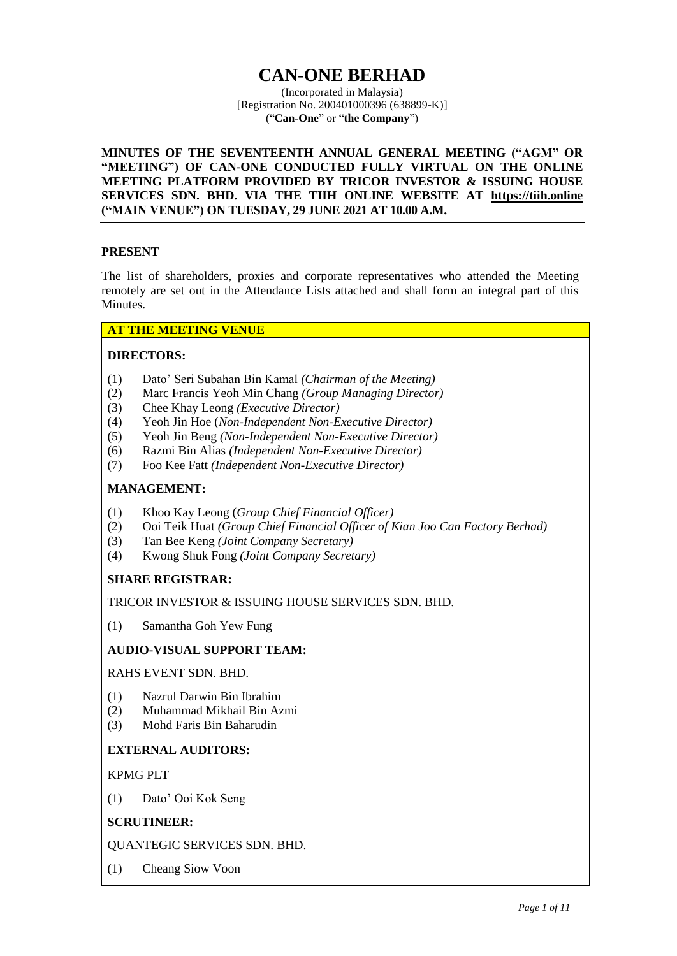# **CAN-ONE BERHAD**

(Incorporated in Malaysia) [Registration No. 200401000396 (638899-K)] ("**Can-One**" or "**the Company**")

**MINUTES OF THE SEVENTEENTH ANNUAL GENERAL MEETING ("AGM" OR "MEETING") OF CAN-ONE CONDUCTED FULLY VIRTUAL ON THE ONLINE MEETING PLATFORM PROVIDED BY TRICOR INVESTOR & ISSUING HOUSE SERVICES SDN. BHD. VIA THE TIIH ONLINE WEBSITE AT [https://tiih.online](https://tiih.online/) ("MAIN VENUE") ON TUESDAY, 29 JUNE 2021 AT 10.00 A.M.**

## **PRESENT**

The list of shareholders, proxies and corporate representatives who attended the Meeting remotely are set out in the Attendance Lists attached and shall form an integral part of this Minutes.

# **AT THE MEETING VENUE**

## **DIRECTORS:**

- (1) Dato' Seri Subahan Bin Kamal *(Chairman of the Meeting)*
- (2) Marc Francis Yeoh Min Chang *(Group Managing Director)*
- (3) Chee Khay Leong *(Executive Director)*
- (4) Yeoh Jin Hoe (*Non-Independent Non-Executive Director)*
- (5) Yeoh Jin Beng *(Non-Independent Non-Executive Director)*
- (6) Razmi Bin Alias *(Independent Non-Executive Director)*
- (7) Foo Kee Fatt *(Independent Non-Executive Director)*

# **MANAGEMENT:**

- (1) Khoo Kay Leong (*Group Chief Financial Officer)*
- (2) Ooi Teik Huat *(Group Chief Financial Officer of Kian Joo Can Factory Berhad)*
- (3) Tan Bee Keng *(Joint Company Secretary)*
- (4) Kwong Shuk Fong *(Joint Company Secretary)*

# **SHARE REGISTRAR:**

TRICOR INVESTOR & ISSUING HOUSE SERVICES SDN. BHD.

(1) Samantha Goh Yew Fung

## **AUDIO-VISUAL SUPPORT TEAM:**

RAHS EVENT SDN. BHD.

- (1) Nazrul Darwin Bin Ibrahim
- (2) Muhammad Mikhail Bin Azmi
- (3) Mohd Faris Bin Baharudin

## **EXTERNAL AUDITORS:**

KPMG PLT

(1) Dato' Ooi Kok Seng

# **SCRUTINEER:**

QUANTEGIC SERVICES SDN. BHD.

(1) Cheang Siow Voon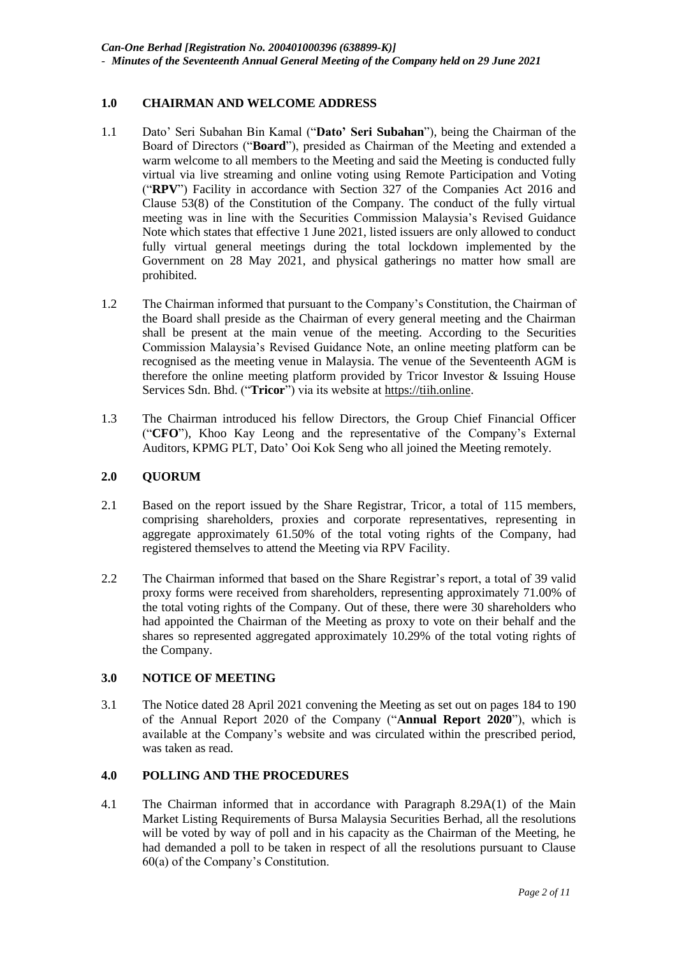# **1.0 CHAIRMAN AND WELCOME ADDRESS**

- 1.1 Dato' Seri Subahan Bin Kamal ("**Dato' Seri Subahan**"), being the Chairman of the Board of Directors ("**Board**"), presided as Chairman of the Meeting and extended a warm welcome to all members to the Meeting and said the Meeting is conducted fully virtual via live streaming and online voting using Remote Participation and Voting ("**RPV**") Facility in accordance with Section 327 of the Companies Act 2016 and Clause 53(8) of the Constitution of the Company. The conduct of the fully virtual meeting was in line with the Securities Commission Malaysia's Revised Guidance Note which states that effective 1 June 2021, listed issuers are only allowed to conduct fully virtual general meetings during the total lockdown implemented by the Government on 28 May 2021, and physical gatherings no matter how small are prohibited.
- 1.2 The Chairman informed that pursuant to the Company's Constitution, the Chairman of the Board shall preside as the Chairman of every general meeting and the Chairman shall be present at the main venue of the meeting. According to the Securities Commission Malaysia's Revised Guidance Note, an online meeting platform can be recognised as the meeting venue in Malaysia. The venue of the Seventeenth AGM is therefore the online meeting platform provided by Tricor Investor & Issuing House Services Sdn. Bhd. ("**Tricor**") via its website at https://tiih.online.
- 1.3 The Chairman introduced his fellow Directors, the Group Chief Financial Officer ("**CFO**"), Khoo Kay Leong and the representative of the Company's External Auditors, KPMG PLT, Dato' Ooi Kok Seng who all joined the Meeting remotely.

## **2.0 QUORUM**

- 2.1 Based on the report issued by the Share Registrar, Tricor, a total of 115 members, comprising shareholders, proxies and corporate representatives, representing in aggregate approximately 61.50% of the total voting rights of the Company, had registered themselves to attend the Meeting via RPV Facility.
- 2.2 The Chairman informed that based on the Share Registrar's report, a total of 39 valid proxy forms were received from shareholders, representing approximately 71.00% of the total voting rights of the Company. Out of these, there were 30 shareholders who had appointed the Chairman of the Meeting as proxy to vote on their behalf and the shares so represented aggregated approximately 10.29% of the total voting rights of the Company.

## **3.0 NOTICE OF MEETING**

3.1 The Notice dated 28 April 2021 convening the Meeting as set out on pages 184 to 190 of the Annual Report 2020 of the Company ("**Annual Report 2020**"), which is available at the Company's website and was circulated within the prescribed period, was taken as read.

# **4.0 POLLING AND THE PROCEDURES**

4.1 The Chairman informed that in accordance with Paragraph 8.29A(1) of the Main Market Listing Requirements of Bursa Malaysia Securities Berhad, all the resolutions will be voted by way of poll and in his capacity as the Chairman of the Meeting, he had demanded a poll to be taken in respect of all the resolutions pursuant to Clause 60(a) of the Company's Constitution.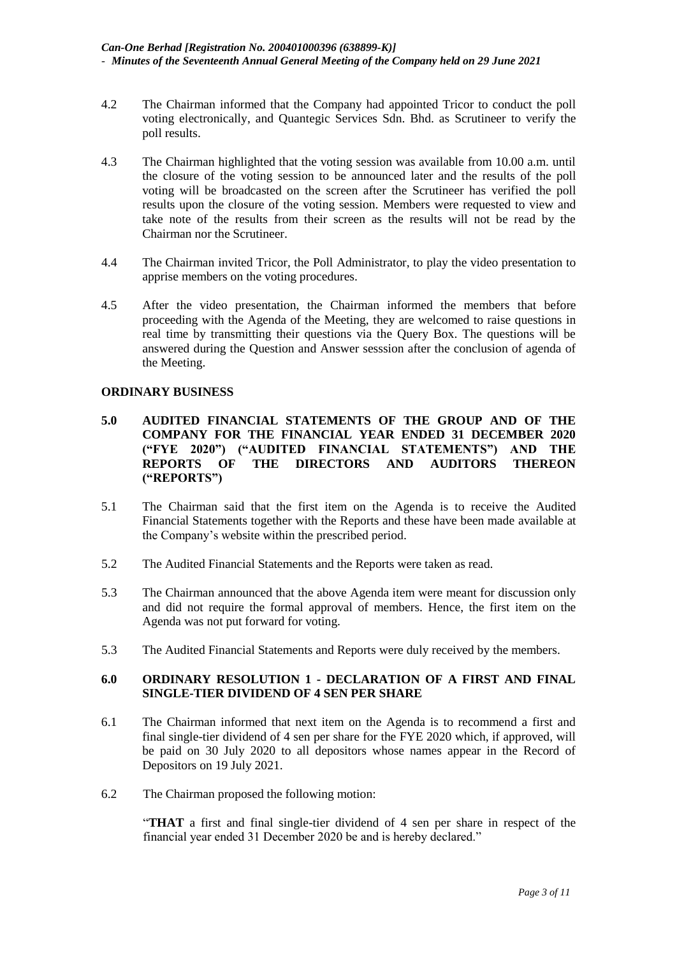- 4.2 The Chairman informed that the Company had appointed Tricor to conduct the poll voting electronically, and Quantegic Services Sdn. Bhd. as Scrutineer to verify the poll results.
- 4.3 The Chairman highlighted that the voting session was available from 10.00 a.m. until the closure of the voting session to be announced later and the results of the poll voting will be broadcasted on the screen after the Scrutineer has verified the poll results upon the closure of the voting session. Members were requested to view and take note of the results from their screen as the results will not be read by the Chairman nor the Scrutineer.
- 4.4 The Chairman invited Tricor, the Poll Administrator, to play the video presentation to apprise members on the voting procedures.
- 4.5 After the video presentation, the Chairman informed the members that before proceeding with the Agenda of the Meeting, they are welcomed to raise questions in real time by transmitting their questions via the Query Box. The questions will be answered during the Question and Answer sesssion after the conclusion of agenda of the Meeting.

#### **ORDINARY BUSINESS**

- **5.0 AUDITED FINANCIAL STATEMENTS OF THE GROUP AND OF THE COMPANY FOR THE FINANCIAL YEAR ENDED 31 DECEMBER 2020 ("FYE 2020") ("AUDITED FINANCIAL STATEMENTS") AND THE REPORTS OF THE DIRECTORS AND AUDITORS THEREON ("REPORTS")**
- 5.1 The Chairman said that the first item on the Agenda is to receive the Audited Financial Statements together with the Reports and these have been made available at the Company's website within the prescribed period.
- 5.2 The Audited Financial Statements and the Reports were taken as read.
- 5.3 The Chairman announced that the above Agenda item were meant for discussion only and did not require the formal approval of members. Hence, the first item on the Agenda was not put forward for voting.
- 5.3 The Audited Financial Statements and Reports were duly received by the members.

## **6.0 ORDINARY RESOLUTION 1 - DECLARATION OF A FIRST AND FINAL SINGLE-TIER DIVIDEND OF 4 SEN PER SHARE**

- 6.1 The Chairman informed that next item on the Agenda is to recommend a first and final single-tier dividend of 4 sen per share for the FYE 2020 which, if approved, will be paid on 30 July 2020 to all depositors whose names appear in the Record of Depositors on 19 July 2021.
- 6.2 The Chairman proposed the following motion:

"**THAT** a first and final single-tier dividend of 4 sen per share in respect of the financial year ended 31 December 2020 be and is hereby declared."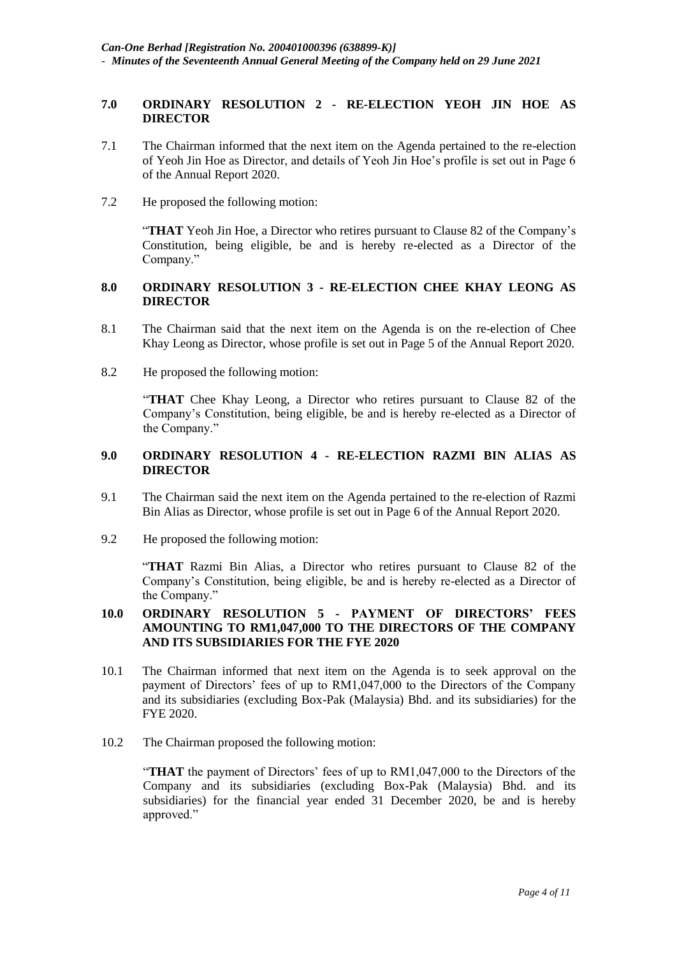## **7.0 ORDINARY RESOLUTION 2 - RE-ELECTION YEOH JIN HOE AS DIRECTOR**

- 7.1 The Chairman informed that the next item on the Agenda pertained to the re-election of Yeoh Jin Hoe as Director, and details of Yeoh Jin Hoe's profile is set out in Page 6 of the Annual Report 2020.
- 7.2 He proposed the following motion:

"**THAT** Yeoh Jin Hoe, a Director who retires pursuant to Clause 82 of the Company's Constitution, being eligible, be and is hereby re-elected as a Director of the Company."

## **8.0 ORDINARY RESOLUTION 3 - RE-ELECTION CHEE KHAY LEONG AS DIRECTOR**

- 8.1 The Chairman said that the next item on the Agenda is on the re-election of Chee Khay Leong as Director, whose profile is set out in Page 5 of the Annual Report 2020.
- 8.2 He proposed the following motion:

"**THAT** Chee Khay Leong, a Director who retires pursuant to Clause 82 of the Company's Constitution, being eligible, be and is hereby re-elected as a Director of the Company."

## **9.0 ORDINARY RESOLUTION 4 - RE-ELECTION RAZMI BIN ALIAS AS DIRECTOR**

- 9.1 The Chairman said the next item on the Agenda pertained to the re-election of Razmi Bin Alias as Director, whose profile is set out in Page 6 of the Annual Report 2020.
- 9.2 He proposed the following motion:

"**THAT** Razmi Bin Alias, a Director who retires pursuant to Clause 82 of the Company's Constitution, being eligible, be and is hereby re-elected as a Director of the Company."

## **10.0 ORDINARY RESOLUTION 5 - PAYMENT OF DIRECTORS' FEES AMOUNTING TO RM1,047,000 TO THE DIRECTORS OF THE COMPANY AND ITS SUBSIDIARIES FOR THE FYE 2020**

- 10.1 The Chairman informed that next item on the Agenda is to seek approval on the payment of Directors' fees of up to RM1,047,000 to the Directors of the Company and its subsidiaries (excluding Box-Pak (Malaysia) Bhd. and its subsidiaries) for the FYE 2020.
- 10.2 The Chairman proposed the following motion:

"**THAT** the payment of Directors' fees of up to RM1,047,000 to the Directors of the Company and its subsidiaries (excluding Box-Pak (Malaysia) Bhd. and its subsidiaries) for the financial year ended 31 December 2020, be and is hereby approved."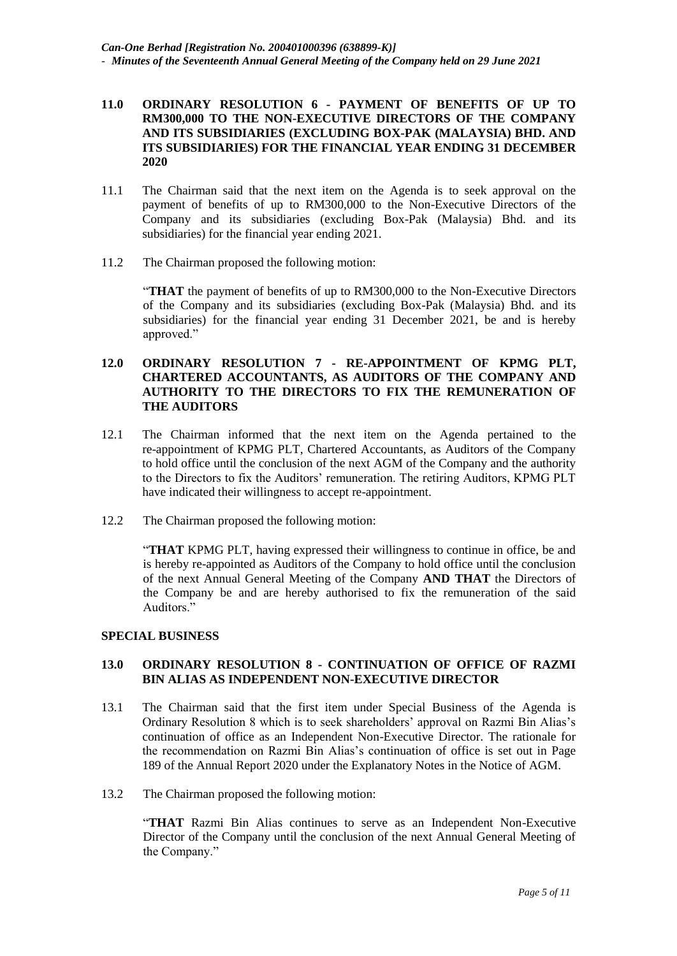### **11.0 ORDINARY RESOLUTION 6 - PAYMENT OF BENEFITS OF UP TO RM300,000 TO THE NON-EXECUTIVE DIRECTORS OF THE COMPANY AND ITS SUBSIDIARIES (EXCLUDING BOX-PAK (MALAYSIA) BHD. AND ITS SUBSIDIARIES) FOR THE FINANCIAL YEAR ENDING 31 DECEMBER 2020**

- 11.1 The Chairman said that the next item on the Agenda is to seek approval on the payment of benefits of up to RM300,000 to the Non-Executive Directors of the Company and its subsidiaries (excluding Box-Pak (Malaysia) Bhd. and its subsidiaries) for the financial year ending 2021.
- 11.2 The Chairman proposed the following motion:

"**THAT** the payment of benefits of up to RM300,000 to the Non-Executive Directors of the Company and its subsidiaries (excluding Box-Pak (Malaysia) Bhd. and its subsidiaries) for the financial year ending 31 December 2021, be and is hereby approved."

## **12.0 ORDINARY RESOLUTION 7 - RE-APPOINTMENT OF KPMG PLT, CHARTERED ACCOUNTANTS, AS AUDITORS OF THE COMPANY AND AUTHORITY TO THE DIRECTORS TO FIX THE REMUNERATION OF THE AUDITORS**

- 12.1 The Chairman informed that the next item on the Agenda pertained to the re-appointment of KPMG PLT, Chartered Accountants, as Auditors of the Company to hold office until the conclusion of the next AGM of the Company and the authority to the Directors to fix the Auditors' remuneration. The retiring Auditors, KPMG PLT have indicated their willingness to accept re-appointment.
- 12.2 The Chairman proposed the following motion:

"**THAT** KPMG PLT, having expressed their willingness to continue in office, be and is hereby re-appointed as Auditors of the Company to hold office until the conclusion of the next Annual General Meeting of the Company **AND THAT** the Directors of the Company be and are hereby authorised to fix the remuneration of the said Auditors."

## **SPECIAL BUSINESS**

## **13.0 ORDINARY RESOLUTION 8 - CONTINUATION OF OFFICE OF RAZMI BIN ALIAS AS INDEPENDENT NON-EXECUTIVE DIRECTOR**

- 13.1 The Chairman said that the first item under Special Business of the Agenda is Ordinary Resolution 8 which is to seek shareholders' approval on Razmi Bin Alias's continuation of office as an Independent Non-Executive Director. The rationale for the recommendation on Razmi Bin Alias's continuation of office is set out in Page 189 of the Annual Report 2020 under the Explanatory Notes in the Notice of AGM.
- 13.2 The Chairman proposed the following motion:

"**THAT** Razmi Bin Alias continues to serve as an Independent Non-Executive Director of the Company until the conclusion of the next Annual General Meeting of the Company."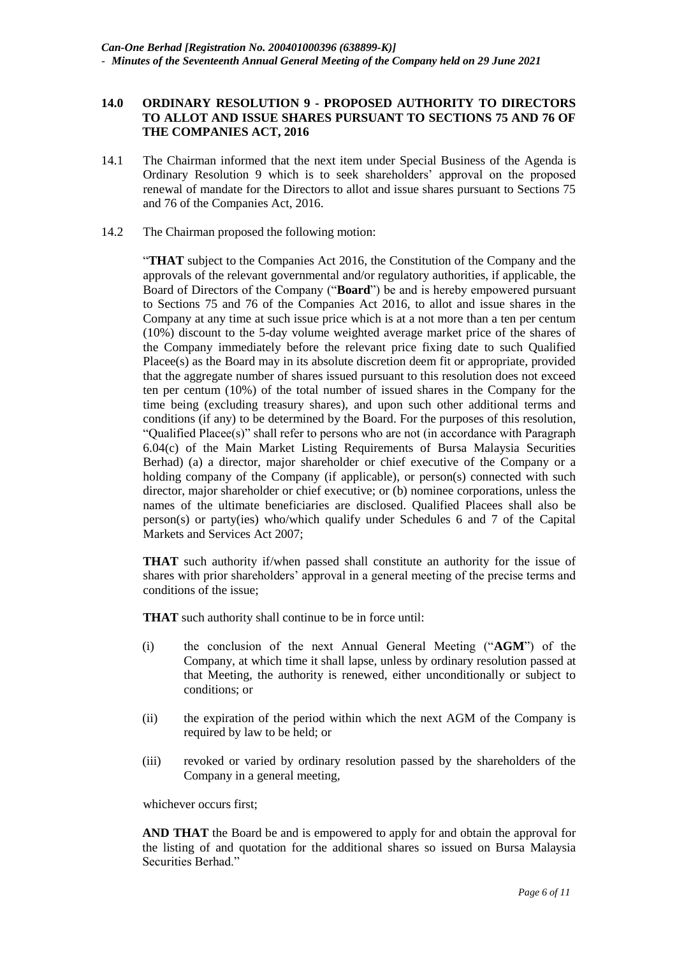## **14.0 ORDINARY RESOLUTION 9 - PROPOSED AUTHORITY TO DIRECTORS TO ALLOT AND ISSUE SHARES PURSUANT TO SECTIONS 75 AND 76 OF THE COMPANIES ACT, 2016**

- 14.1 The Chairman informed that the next item under Special Business of the Agenda is Ordinary Resolution 9 which is to seek shareholders' approval on the proposed renewal of mandate for the Directors to allot and issue shares pursuant to Sections 75 and 76 of the Companies Act, 2016.
- 14.2 The Chairman proposed the following motion:

"**THAT** subject to the Companies Act 2016, the Constitution of the Company and the approvals of the relevant governmental and/or regulatory authorities, if applicable, the Board of Directors of the Company ("**Board**") be and is hereby empowered pursuant to Sections 75 and 76 of the Companies Act 2016, to allot and issue shares in the Company at any time at such issue price which is at a not more than a ten per centum (10%) discount to the 5-day volume weighted average market price of the shares of the Company immediately before the relevant price fixing date to such Qualified Placee(s) as the Board may in its absolute discretion deem fit or appropriate, provided that the aggregate number of shares issued pursuant to this resolution does not exceed ten per centum (10%) of the total number of issued shares in the Company for the time being (excluding treasury shares), and upon such other additional terms and conditions (if any) to be determined by the Board. For the purposes of this resolution, "Qualified Placee(s)" shall refer to persons who are not (in accordance with Paragraph 6.04(c) of the Main Market Listing Requirements of Bursa Malaysia Securities Berhad) (a) a director, major shareholder or chief executive of the Company or a holding company of the Company (if applicable), or person(s) connected with such director, major shareholder or chief executive; or (b) nominee corporations, unless the names of the ultimate beneficiaries are disclosed. Qualified Placees shall also be person(s) or party(ies) who/which qualify under Schedules  $6$  and  $7$  of the Capital Markets and Services Act 2007;

**THAT** such authority if/when passed shall constitute an authority for the issue of shares with prior shareholders' approval in a general meeting of the precise terms and conditions of the issue;

**THAT** such authority shall continue to be in force until:

- (i) the conclusion of the next Annual General Meeting ("**AGM**") of the Company, at which time it shall lapse, unless by ordinary resolution passed at that Meeting, the authority is renewed, either unconditionally or subject to conditions; or
- (ii) the expiration of the period within which the next AGM of the Company is required by law to be held; or
- (iii) revoked or varied by ordinary resolution passed by the shareholders of the Company in a general meeting,

whichever occurs first;

**AND THAT** the Board be and is empowered to apply for and obtain the approval for the listing of and quotation for the additional shares so issued on Bursa Malaysia Securities Berhad."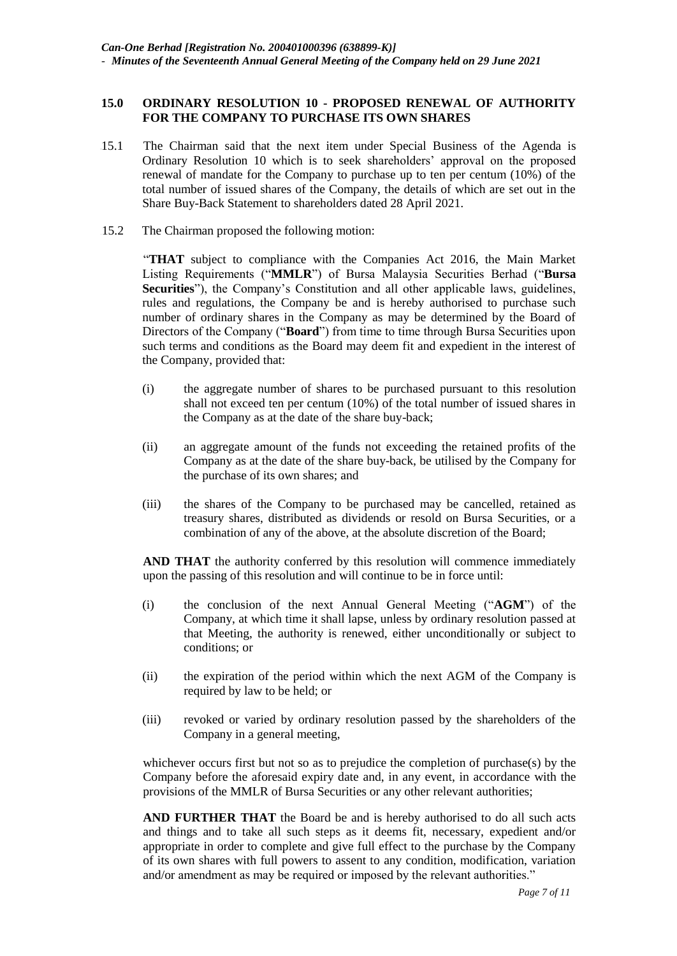## **15.0 ORDINARY RESOLUTION 10 - PROPOSED RENEWAL OF AUTHORITY FOR THE COMPANY TO PURCHASE ITS OWN SHARES**

- **2**15.1 The Chairman said that the next item under Special Business of the Agenda is Ordinary Resolution 10 which is to seek shareholders' approval on the proposed renewal of mandate for the Company to purchase up to ten per centum (10%) of the total number of issued shares of the Company, the details of which are set out in the Share Buy-Back Statement to shareholders dated 28 April 2021.
- 115.2 The Chairman proposed the following motion:

"**THAT** subject to compliance with the Companies Act 2016, the Main Market Listing Requirements ("**MMLR**") of Bursa Malaysia Securities Berhad ("**Bursa Securities**"), the Company's Constitution and all other applicable laws, guidelines, rules and regulations, the Company be and is hereby authorised to purchase such number of ordinary shares in the Company as may be determined by the Board of Directors of the Company ("**Board**") from time to time through Bursa Securities upon such terms and conditions as the Board may deem fit and expedient in the interest of the Company, provided that:

- (i) the aggregate number of shares to be purchased pursuant to this resolution shall not exceed ten per centum (10%) of the total number of issued shares in the Company as at the date of the share buy-back;
- (ii) an aggregate amount of the funds not exceeding the retained profits of the Company as at the date of the share buy-back, be utilised by the Company for the purchase of its own shares; and
- (iii) the shares of the Company to be purchased may be cancelled, retained as treasury shares, distributed as dividends or resold on Bursa Securities, or a combination of any of the above, at the absolute discretion of the Board;

**AND THAT** the authority conferred by this resolution will commence immediately upon the passing of this resolution and will continue to be in force until:

- (i) the conclusion of the next Annual General Meeting ("**AGM**") of the Company, at which time it shall lapse, unless by ordinary resolution passed at that Meeting, the authority is renewed, either unconditionally or subject to conditions; or
- (ii) the expiration of the period within which the next AGM of the Company is required by law to be held; or
- (iii) revoked or varied by ordinary resolution passed by the shareholders of the Company in a general meeting,

whichever occurs first but not so as to prejudice the completion of purchase(s) by the Company before the aforesaid expiry date and, in any event, in accordance with the provisions of the MMLR of Bursa Securities or any other relevant authorities;

**AND FURTHER THAT** the Board be and is hereby authorised to do all such acts and things and to take all such steps as it deems fit, necessary, expedient and/or appropriate in order to complete and give full effect to the purchase by the Company of its own shares with full powers to assent to any condition, modification, variation and/or amendment as may be required or imposed by the relevant authorities."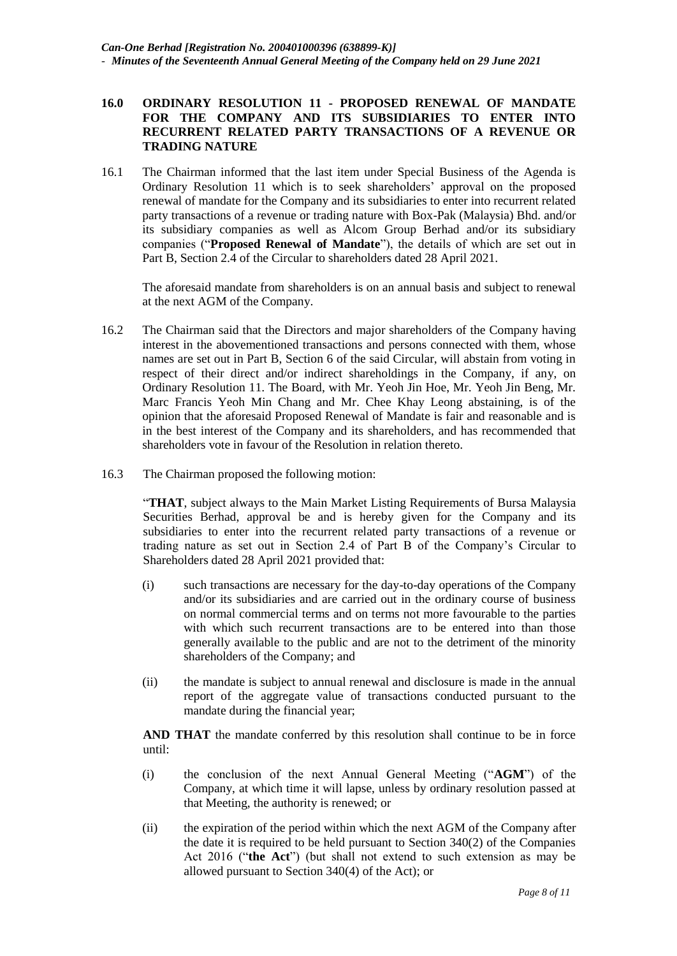## **16.0 ORDINARY RESOLUTION 11 - PROPOSED RENEWAL OF MANDATE FOR THE COMPANY AND ITS SUBSIDIARIES TO ENTER INTO RECURRENT RELATED PARTY TRANSACTIONS OF A REVENUE OR TRADING NATURE**

16.1 The Chairman informed that the last item under Special Business of the Agenda is Ordinary Resolution 11 which is to seek shareholders' approval on the proposed renewal of mandate for the Company and its subsidiaries to enter into recurrent related party transactions of a revenue or trading nature with Box-Pak (Malaysia) Bhd. and/or its subsidiary companies as well as Alcom Group Berhad and/or its subsidiary companies ("**Proposed Renewal of Mandate**"), the details of which are set out in Part B, Section 2.4 of the Circular to shareholders dated 28 April 2021.

The aforesaid mandate from shareholders is on an annual basis and subject to renewal at the next AGM of the Company.

- 16.2 The Chairman said that the Directors and major shareholders of the Company having interest in the abovementioned transactions and persons connected with them, whose names are set out in Part B, Section 6 of the said Circular, will abstain from voting in respect of their direct and/or indirect shareholdings in the Company, if any, on Ordinary Resolution 11. The Board, with Mr. Yeoh Jin Hoe, Mr. Yeoh Jin Beng, Mr. Marc Francis Yeoh Min Chang and Mr. Chee Khay Leong abstaining, is of the opinion that the aforesaid Proposed Renewal of Mandate is fair and reasonable and is in the best interest of the Company and its shareholders, and has recommended that shareholders vote in favour of the Resolution in relation thereto.
- 16.3 The Chairman proposed the following motion:

"**THAT**, subject always to the Main Market Listing Requirements of Bursa Malaysia Securities Berhad, approval be and is hereby given for the Company and its subsidiaries to enter into the recurrent related party transactions of a revenue or trading nature as set out in Section 2.4 of Part B of the Company's Circular to Shareholders dated 28 April 2021 provided that:

- (i) such transactions are necessary for the day-to-day operations of the Company and/or its subsidiaries and are carried out in the ordinary course of business on normal commercial terms and on terms not more favourable to the parties with which such recurrent transactions are to be entered into than those generally available to the public and are not to the detriment of the minority shareholders of the Company; and
- (ii) the mandate is subject to annual renewal and disclosure is made in the annual report of the aggregate value of transactions conducted pursuant to the mandate during the financial year;

**AND THAT** the mandate conferred by this resolution shall continue to be in force until:

- (i) the conclusion of the next Annual General Meeting ("**AGM**") of the Company, at which time it will lapse, unless by ordinary resolution passed at that Meeting, the authority is renewed; or
- (ii) the expiration of the period within which the next AGM of the Company after the date it is required to be held pursuant to Section 340(2) of the Companies Act 2016 ("**the Act**") (but shall not extend to such extension as may be allowed pursuant to Section 340(4) of the Act); or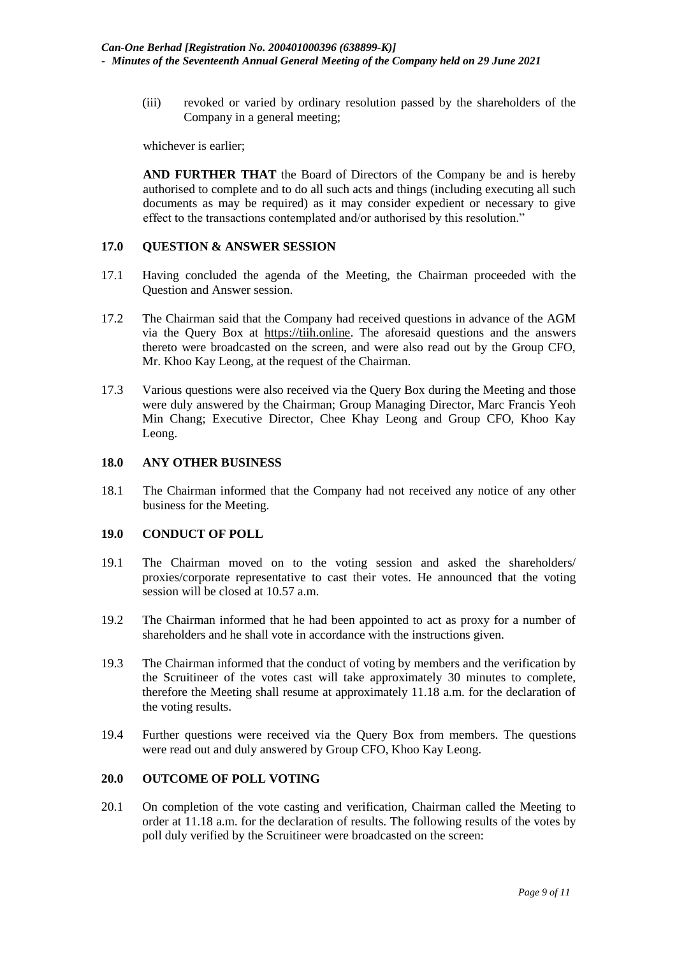(iii) revoked or varied by ordinary resolution passed by the shareholders of the Company in a general meeting;

whichever is earlier;

**AND FURTHER THAT** the Board of Directors of the Company be and is hereby authorised to complete and to do all such acts and things (including executing all such documents as may be required) as it may consider expedient or necessary to give effect to the transactions contemplated and/or authorised by this resolution."

## **17.0 QUESTION & ANSWER SESSION**

- 17.1 Having concluded the agenda of the Meeting, the Chairman proceeded with the Question and Answer session.
- 17.2 The Chairman said that the Company had received questions in advance of the AGM via the Query Box at [https://tiih.online.](https://tiih.online/) The aforesaid questions and the answers thereto were broadcasted on the screen, and were also read out by the Group CFO, Mr. Khoo Kay Leong, at the request of the Chairman.
- 17.3 Various questions were also received via the Query Box during the Meeting and those were duly answered by the Chairman; Group Managing Director, Marc Francis Yeoh Min Chang; Executive Director, Chee Khay Leong and Group CFO, Khoo Kay Leong.

#### **18.0 ANY OTHER BUSINESS**

18.1 The Chairman informed that the Company had not received any notice of any other business for the Meeting.

#### **19.0 CONDUCT OF POLL**

- 19.1 The Chairman moved on to the voting session and asked the shareholders/ proxies/corporate representative to cast their votes. He announced that the voting session will be closed at 10.57 a.m.
- 19.2 The Chairman informed that he had been appointed to act as proxy for a number of shareholders and he shall vote in accordance with the instructions given.
- 19.3 The Chairman informed that the conduct of voting by members and the verification by the Scruitineer of the votes cast will take approximately 30 minutes to complete, therefore the Meeting shall resume at approximately 11.18 a.m. for the declaration of the voting results.
- 19.4 Further questions were received via the Query Box from members. The questions were read out and duly answered by Group CFO, Khoo Kay Leong.

## **20.0 OUTCOME OF POLL VOTING**

20.1 On completion of the vote casting and verification, Chairman called the Meeting to order at 11.18 a.m. for the declaration of results. The following results of the votes by poll duly verified by the Scruitineer were broadcasted on the screen: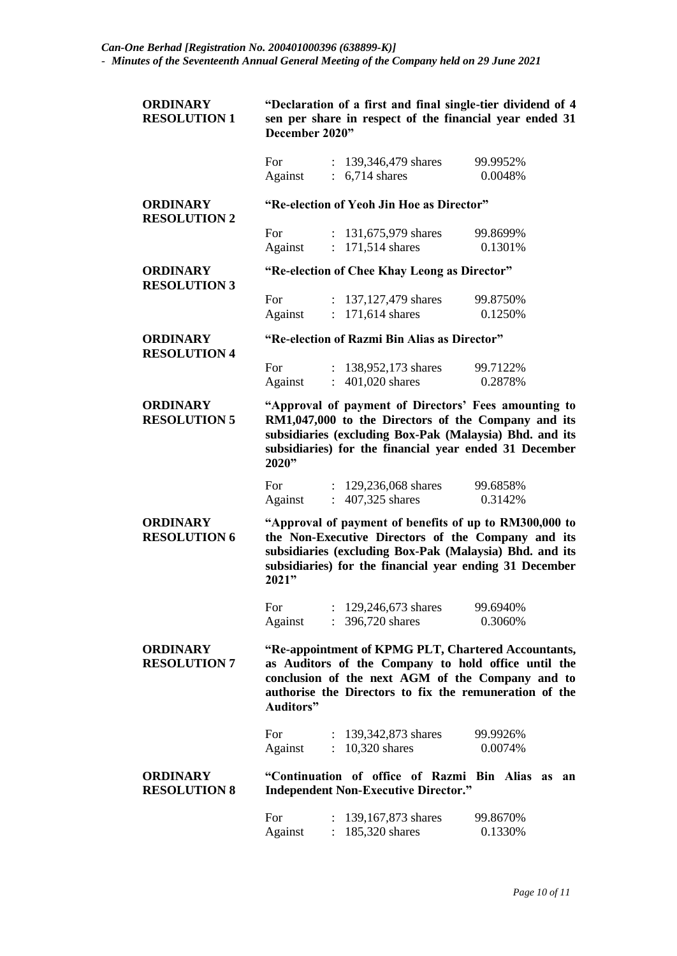| <b>ORDINARY</b><br><b>RESOLUTION 1</b> | "Declaration of a first and final single-tier dividend of 4<br>sen per share in respect of the financial year ended 31<br>December 2020"                                                                                                    |                                                                                              |                     |  |
|----------------------------------------|---------------------------------------------------------------------------------------------------------------------------------------------------------------------------------------------------------------------------------------------|----------------------------------------------------------------------------------------------|---------------------|--|
|                                        | For<br>Against                                                                                                                                                                                                                              | : $139,346,479$ shares<br>$: 6,714$ shares                                                   | 99.9952%<br>0.0048% |  |
| <b>ORDINARY</b><br><b>RESOLUTION 2</b> | "Re-election of Yeoh Jin Hoe as Director"                                                                                                                                                                                                   |                                                                                              |                     |  |
|                                        | For<br>Against                                                                                                                                                                                                                              | : 131,675,979 shares<br>$: 171,514$ shares                                                   | 99.8699%<br>0.1301% |  |
| <b>ORDINARY</b><br><b>RESOLUTION 3</b> | "Re-election of Chee Khay Leong as Director"                                                                                                                                                                                                |                                                                                              |                     |  |
|                                        | For<br>Against                                                                                                                                                                                                                              | : 137,127,479 shares<br>: 171,614 shares                                                     | 99.8750%<br>0.1250% |  |
| <b>ORDINARY</b><br><b>RESOLUTION 4</b> | "Re-election of Razmi Bin Alias as Director"                                                                                                                                                                                                |                                                                                              |                     |  |
|                                        | For<br>Against                                                                                                                                                                                                                              | : $138,952,173$ shares<br>$\therefore$ 401,020 shares                                        | 99.7122%<br>0.2878% |  |
| <b>ORDINARY</b><br><b>RESOLUTION 5</b> | "Approval of payment of Directors' Fees amounting to<br>RM1,047,000 to the Directors of the Company and its<br>subsidiaries (excluding Box-Pak (Malaysia) Bhd. and its<br>subsidiaries) for the financial year ended 31 December<br>2020"   |                                                                                              |                     |  |
|                                        | For<br>Against                                                                                                                                                                                                                              | 129,236,068 shares<br>407,325 shares<br>$\mathbb{R}^{\mathbb{Z}}$                            | 99.6858%<br>0.3142% |  |
| <b>ORDINARY</b><br><b>RESOLUTION 6</b> | "Approval of payment of benefits of up to RM300,000 to<br>the Non-Executive Directors of the Company and its<br>subsidiaries (excluding Box-Pak (Malaysia) Bhd. and its<br>subsidiaries) for the financial year ending 31 December<br>2021" |                                                                                              |                     |  |
|                                        | For<br>Against                                                                                                                                                                                                                              | 129,246,673 shares<br>396,720 shares                                                         | 99.6940%<br>0.3060% |  |
| <b>ORDINARY</b><br><b>RESOLUTION 7</b> | "Re-appointment of KPMG PLT, Chartered Accountants,<br>as Auditors of the Company to hold office until the<br>conclusion of the next AGM of the Company and to<br>authorise the Directors to fix the remuneration of the<br>Auditors"       |                                                                                              |                     |  |
|                                        | For<br>Against                                                                                                                                                                                                                              | : 139,342,873 shares<br>$: 10,320$ shares                                                    | 99.9926%<br>0.0074% |  |
| <b>ORDINARY</b><br><b>RESOLUTION 8</b> |                                                                                                                                                                                                                                             | "Continuation of office of Razmi Bin Alias as<br><b>Independent Non-Executive Director."</b> | an                  |  |
|                                        | For<br>Against                                                                                                                                                                                                                              | 139,167,873 shares<br>185,320 shares                                                         | 99.8670%<br>0.1330% |  |